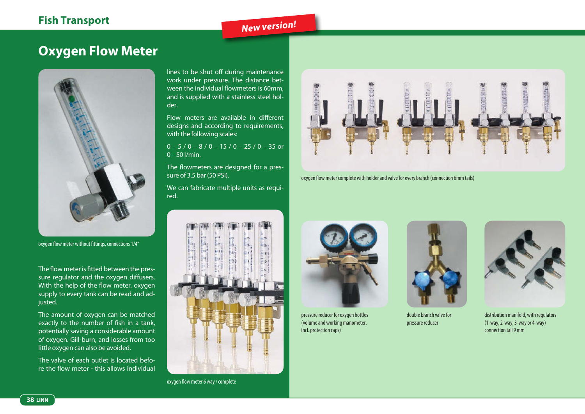### **Fish Transport**

# *New version!*

## **Oxygen Flow Meter**



oxygen flow meter without fittings, connections 1/4"

The flow meter is fitted between the pressure regulator and the oxygen diffusers. With the help of the flow meter, oxygen supply to every tank can be read and adjusted.

The amount of oxygen can be matched exactly to the number of fish in a tank, potentially saving a considerable amount of oxygen. Gill-burn, and losses from too little oxygen can also be avoided.

The valve of each outlet is located before the flow meter - this allows individual

lines to be shut off during maintenance work under pressure. The distance between the individual flowmeters is 60mm, and is supplied with a stainless steel holder.

Flow meters are available in different designs and according to requirements, with the following scales:

 $0 - 5 / 0 - 8 / 0 - 15 / 0 - 25 / 0 - 35$  or 0 – 50 l/min.

The flowmeters are designed for a pressure of 3.5 bar (50 PSI).

We can fabricate multiple units as required.



oxygen flow meter 6 way / complete



oxygen flow meter complete with holder and valve for every branch (connection 6mm tails)



pressure reducer for oxygen bottles (volume and working manometer, incl. protection caps)



double branch valve for pressure reducer



distribution manifold, with regulators (1-way, 2-way, 3-way or 4-way) connection tail 9 mm